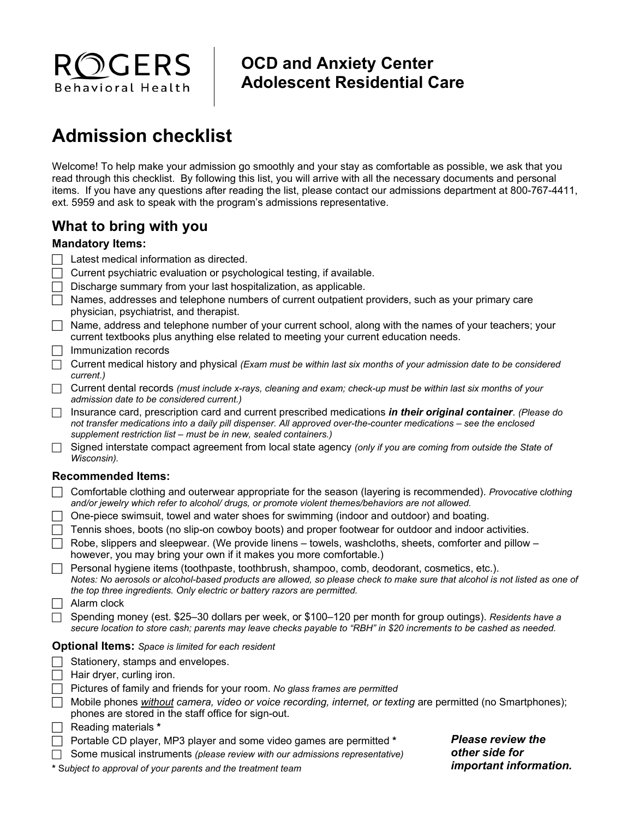

# **OCD and Anxiety Center Adolescent Residential Care**

# **Admission checklist**

Welcome! To help make your admission go smoothly and your stay as comfortable as possible, we ask that you read through this checklist. By following this list, you will arrive with all the necessary documents and personal items. If you have any questions after reading the list, please contact our admissions department at 800-767-4411, ext. 5959 and ask to speak with the program's admissions representative.

# **What to bring with you**

#### **Mandatory Items:**

- $\Box$  Latest medical information as directed.
- $\Box$  Current psychiatric evaluation or psychological testing, if available.
- $\Box$  Discharge summary from your last hospitalization, as applicable.
- $\Box$  Names, addresses and telephone numbers of current outpatient providers, such as your primary care physician, psychiatrist, and therapist.
- $\Box$  Name, address and telephone number of your current school, along with the names of your teachers; your current textbooks plus anything else related to meeting your current education needs.
- $\Box$  Immunization records
- Current medical history and physical *(Exam must be within last six months of your admission date to be considered current.)*
- Current dental records *(must include x-rays, cleaning and exam; check-up must be within last six months of your admission date to be considered current.)*
- Insurance card, prescription card and current prescribed medications *in their original container*. *(Please do not transfer medications into a daily pill dispenser. All approved over-the-counter medications – see the enclosed supplement restriction list – must be in new, sealed containers.)*
- Signed interstate compact agreement from local state agency *(only if you are coming from outside the State of Wisconsin).*

#### **Recommended Items:**

- Comfortable clothing and outerwear appropriate for the season (layering is recommended). *Provocative* c*lothing and/or jewelry which refer to alcohol/ drugs, or promote violent themes/behaviors are not allowed.*
- $\Box$  One-piece swimsuit, towel and water shoes for swimming (indoor and outdoor) and boating.
- $\Box$  Tennis shoes, boots (no slip-on cowboy boots) and proper footwear for outdoor and indoor activities.
- $\Box$  Robe, slippers and sleepwear. (We provide linens towels, washcloths, sheets, comforter and pillow however, you may bring your own if it makes you more comfortable.)
- $\Box$  Personal hygiene items (toothpaste, toothbrush, shampoo, comb, deodorant, cosmetics, etc.). *Notes: No aerosols or alcohol-based products are allowed, so please check to make sure that alcohol is not listed as one of the top three ingredients. Only electric or battery razors are permitted.*
- $\Box$  Alarm clock
- Spending money (est. \$25–30 dollars per week, or \$100–120 per month for group outings). *Residents have a secure location to store cash; parents may leave checks payable to "RBH" in \$20 increments to be cashed as needed.*

#### **Optional Items:** *Space is limited for each resident*

- $\Box$  Stationery, stamps and envelopes.
- $\Box$  Hair dryer, curling iron.
- Pictures of family and friends for your room. *No glass frames are permitted*
- Mobile phones *without camera, video or voice recording, internet, or texting* are permitted (no Smartphones); phones are stored in the staff office for sign-out.
- Reading materials **\***
- Portable CD player, MP3 player and some video games are permitted **\***
- Some musical instruments *(please review with our admissions representative)*
- *Please review the other side for important information.*

**\*** S*ubject to approval of your parents and the treatment team*